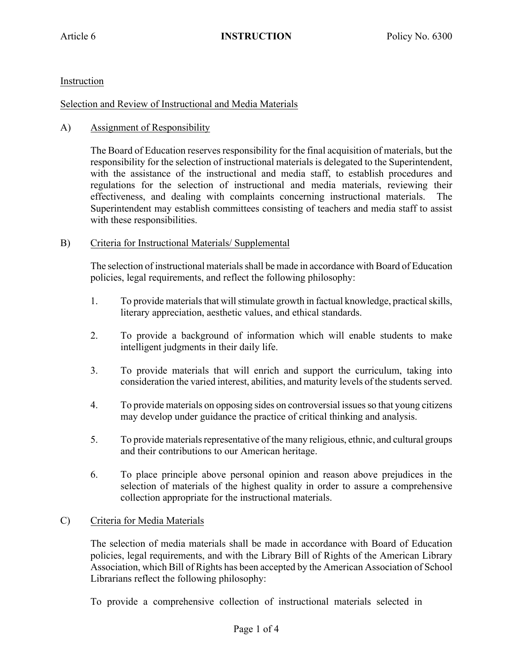# Instruction

#### Selection and Review of Instructional and Media Materials

## A) Assignment of Responsibility

The Board of Education reserves responsibility for the final acquisition of materials, but the responsibility for the selection of instructional materials is delegated to the Superintendent, with the assistance of the instructional and media staff, to establish procedures and regulations for the selection of instructional and media materials, reviewing their effectiveness, and dealing with complaints concerning instructional materials. The Superintendent may establish committees consisting of teachers and media staff to assist with these responsibilities.

#### B) Criteria for Instructional Materials/ Supplemental

The selection of instructional materialsshall be made in accordance with Board of Education policies, legal requirements, and reflect the following philosophy:

- 1. To provide materials that will stimulate growth in factual knowledge, practical skills, literary appreciation, aesthetic values, and ethical standards.
- 2. To provide a background of information which will enable students to make intelligent judgments in their daily life.
- 3. To provide materials that will enrich and support the curriculum, taking into consideration the varied interest, abilities, and maturity levels of the students served.
- 4. To provide materials on opposing sides on controversial issues so that young citizens may develop under guidance the practice of critical thinking and analysis.
- 5. To provide materials representative of the many religious, ethnic, and cultural groups and their contributions to our American heritage.
- 6. To place principle above personal opinion and reason above prejudices in the selection of materials of the highest quality in order to assure a comprehensive collection appropriate for the instructional materials.

# C) Criteria for Media Materials

The selection of media materials shall be made in accordance with Board of Education policies, legal requirements, and with the Library Bill of Rights of the American Library Association, which Bill of Rights has been accepted by the American Association of School Librarians reflect the following philosophy:

To provide a comprehensive collection of instructional materials selected in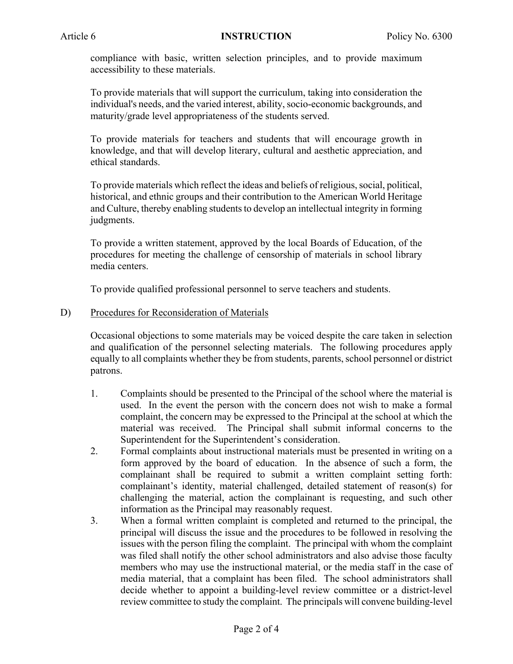compliance with basic, written selection principles, and to provide maximum accessibility to these materials.

To provide materials that will support the curriculum, taking into consideration the individual's needs, and the varied interest, ability, socio-economic backgrounds, and maturity/grade level appropriateness of the students served.

To provide materials for teachers and students that will encourage growth in knowledge, and that will develop literary, cultural and aesthetic appreciation, and ethical standards.

To provide materials which reflect the ideas and beliefs of religious, social, political, historical, and ethnic groups and their contribution to the American World Heritage and Culture, thereby enabling students to develop an intellectual integrity in forming judgments.

To provide a written statement, approved by the local Boards of Education, of the procedures for meeting the challenge of censorship of materials in school library media centers.

To provide qualified professional personnel to serve teachers and students.

D) Procedures for Reconsideration of Materials

Occasional objections to some materials may be voiced despite the care taken in selection and qualification of the personnel selecting materials. The following procedures apply equally to all complaints whether they be from students, parents, school personnel or district patrons.

- 1. Complaints should be presented to the Principal of the school where the material is used. In the event the person with the concern does not wish to make a formal complaint, the concern may be expressed to the Principal at the school at which the material was received. The Principal shall submit informal concerns to the Superintendent for the Superintendent's consideration.
- 2. Formal complaints about instructional materials must be presented in writing on a form approved by the board of education. In the absence of such a form, the complainant shall be required to submit a written complaint setting forth: complainant's identity, material challenged, detailed statement of reason(s) for challenging the material, action the complainant is requesting, and such other information as the Principal may reasonably request.
- 3. When a formal written complaint is completed and returned to the principal, the principal will discuss the issue and the procedures to be followed in resolving the issues with the person filing the complaint. The principal with whom the complaint was filed shall notify the other school administrators and also advise those faculty members who may use the instructional material, or the media staff in the case of media material, that a complaint has been filed. The school administrators shall decide whether to appoint a building-level review committee or a district-level review committee to study the complaint. The principals will convene building-level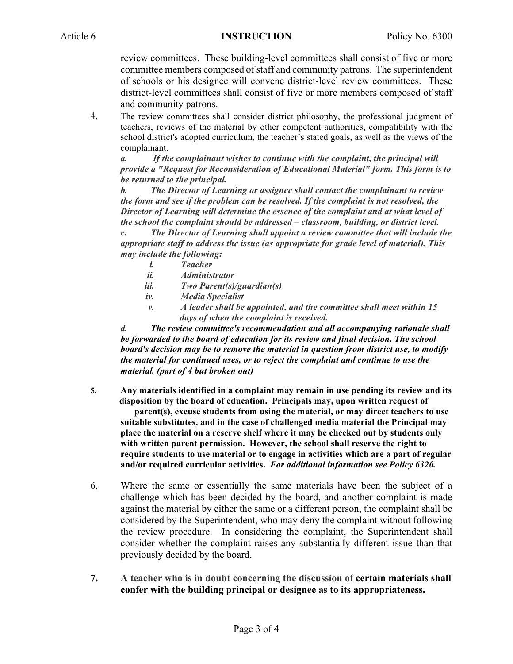#### Article 6 **INSTRUCTION** Policy No. 6300

review committees. These building-level committees shall consist of five or more committee members composed of staff and community patrons. The superintendent of schools or his designee will convene district-level review committees. These district-level committees shall consist of five or more members composed of staff and community patrons.

4. The review committees shall consider district philosophy, the professional judgment of teachers, reviews of the material by other competent authorities, compatibility with the school district's adopted curriculum, the teacher's stated goals, as well as the views of the complainant.

*a. If the complainant wishes to continue with the complaint, the principal will provide a "Request for Reconsideration of Educational Material" form. This form is to be returned to the principal.*

*b. The Director of Learning or assignee shall contact the complainant to review the form and see if the problem can be resolved. If the complaint is not resolved, the Director of Learning will determine the essence of the complaint and at what level of the school the complaint should be addressed – classroom, building, or district level. c. The Director of Learning shall appoint a review committee that will include the appropriate staff to address the issue (as appropriate for grade level of material). This may include the following:*

- *i. Teacher*
- *ii. Administrator*
- *iii. Two Parent(s)/guardian(s)*
- *iv. Media Specialist*
- *v. A leader shall be appointed, and the committee shall meet within 15 days of when the complaint is received.*

*d. The review committee's recommendation and all accompanying rationale shall be forwarded to the board of education for its review and final decision. The school board's decision may be to remove the material in question from district use, to modify the material for continued uses, or to reject the complaint and continue to use the material. (part of 4 but broken out)*

- **5. Any materials identified in a complaint may remain in use pending its review and its disposition by the board of education. Principals may, upon written request of parent(s), excuse students from using the material, or may direct teachers to use suitable substitutes, and in the case of challenged media material the Principal may place the material on a reserve shelf where it may be checked out by students only with written parent permission. However, the school shall reserve the right to require students to use material or to engage in activities which are a part of regular and/or required curricular activities.** *For additional information see Policy 6320.*
- 6. Where the same or essentially the same materials have been the subject of a challenge which has been decided by the board, and another complaint is made against the material by either the same or a different person, the complaint shall be considered by the Superintendent, who may deny the complaint without following the review procedure. In considering the complaint, the Superintendent shall consider whether the complaint raises any substantially different issue than that previously decided by the board.
- **7. A teacher who is in doubt concerning the discussion of certain materials shall confer with the building principal or designee as to its appropriateness.**